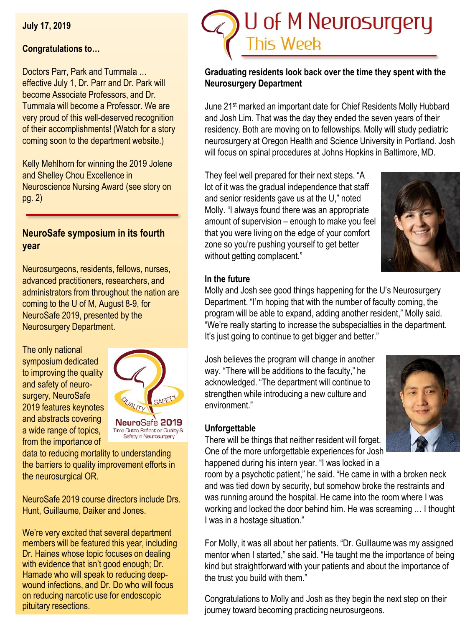**July 17, 2019**

## **Congratulations to…**

Doctors Parr, Park and Tummala … effective July 1, Dr. Parr and Dr. Park will become Associate Professors, and Dr. Tummala will become a Professor. We are very proud of this well-deserved recognition of their accomplishments! (Watch for a story coming soon to the department website.)

Kelly Mehlhorn for winning the 2019 Jolene and Shelley Chou Excellence in Neuroscience Nursing Award (see story on pg. 2)

# **NeuroSafe symposium in its fourth year**

Neurosurgeons, residents, fellows, nurses, advanced practitioners, researchers, and administrators from throughout the nation are coming to the U of M, August 8-9, for NeuroSafe 2019, presented by the Neurosurgery Department.

The only national symposium dedicated to improving the quality and safety of neurosurgery, NeuroSafe 2019 features keynotes and abstracts covering a wide range of topics, from the importance of



data to reducing mortality to understanding the barriers to quality improvement efforts in the neurosurgical OR.

NeuroSafe 2019 course directors include Drs. Hunt, Guillaume, Daiker and Jones.

We're very excited that several department members will be featured this year, including Dr. Haines whose topic focuses on dealing with evidence that isn't good enough; Dr. Hamade who will speak to reducing deepwound infections, and Dr. Do who will focus on reducing narcotic use for endoscopic pituitary resections.



## **Graduating residents look back over the time they spent with the Neurosurgery Department**

June 21<sup>st</sup> marked an important date for Chief Residents Molly Hubbard and Josh Lim. That was the day they ended the seven years of their residency. Both are moving on to fellowships. Molly will study pediatric neurosurgery at Oregon Health and Science University in Portland. Josh will focus on spinal procedures at Johns Hopkins in Baltimore, MD.

They feel well prepared for their next steps. "A lot of it was the gradual independence that staff and senior residents gave us at the U," noted Molly. "I always found there was an appropriate amount of supervision – enough to make you feel that you were living on the edge of your comfort zone so you're pushing yourself to get better without getting complacent."



## **In the future**

Molly and Josh see good things happening for the U's Neurosurgery Department. "I'm hoping that with the number of faculty coming, the program will be able to expand, adding another resident," Molly said. "We're really starting to increase the subspecialties in the department. It's just going to continue to get bigger and better."

Josh believes the program will change in another way. "There will be additions to the faculty," he acknowledged. "The department will continue to strengthen while introducing a new culture and environment."

#### **Unforgettable**



There will be things that neither resident will forget. One of the more unforgettable experiences for Josh happened during his intern year. "I was locked in a

room by a psychotic patient," he said. "He came in with a broken neck and was tied down by security, but somehow broke the restraints and was running around the hospital. He came into the room where I was working and locked the door behind him. He was screaming … I thought I was in a hostage situation."

For Molly, it was all about her patients. "Dr. Guillaume was my assigned mentor when I started," she said. "He taught me the importance of being kind but straightforward with your patients and about the importance of the trust you build with them."

Congratulations to Molly and Josh as they begin the next step on their journey toward becoming practicing neurosurgeons.